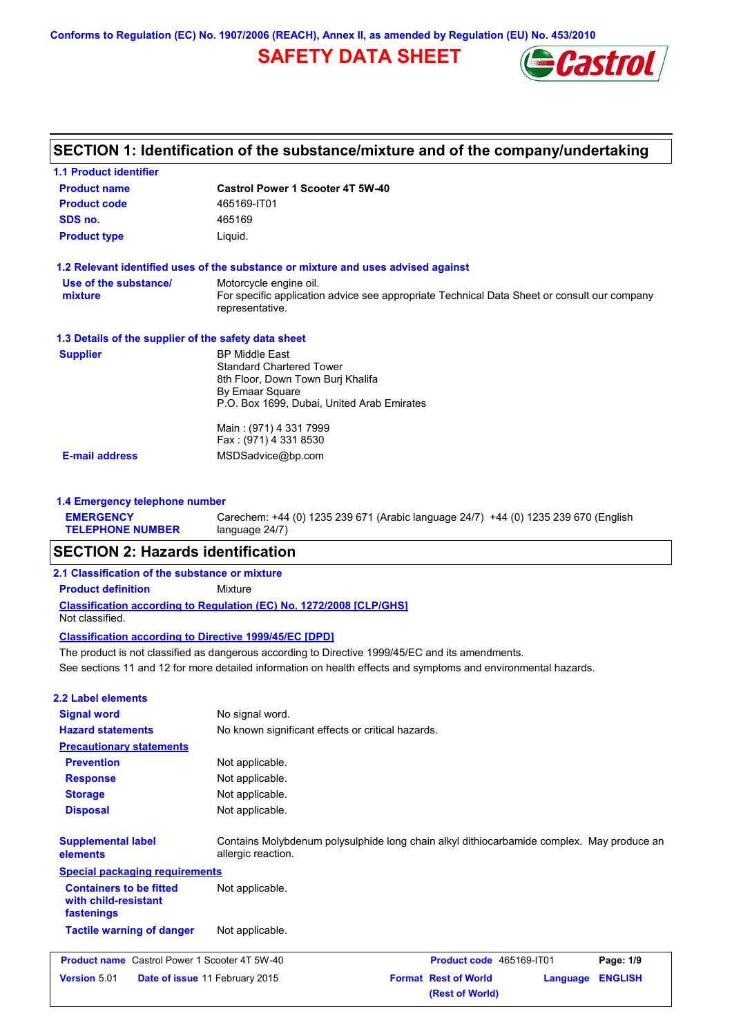**Conforms to Regulation (EC) No. 1907/2006 (REACH), Annex II, as amended by Regulation (EU) No. 453/2010**

# **SAFETY DATA SHEET**



| <b>Castrol Power 1 Scooter 4T 5W-40</b>                                                                        |
|----------------------------------------------------------------------------------------------------------------|
| 465169-IT01                                                                                                    |
| 465169                                                                                                         |
| Liquid.                                                                                                        |
| 1.2 Relevant identified uses of the substance or mixture and uses advised against                              |
| Motorcycle engine oil.                                                                                         |
| For specific application advice see appropriate Technical Data Sheet or consult our company<br>representative. |
| 1.3 Details of the supplier of the safety data sheet                                                           |
| <b>BP Middle East</b>                                                                                          |
| <b>Standard Chartered Tower</b>                                                                                |
| 8th Floor, Down Town Burj Khalifa                                                                              |
| By Emaar Square<br>P.O. Box 1699, Dubai, United Arab Emirates                                                  |
|                                                                                                                |
| Main: (971) 4 331 7999                                                                                         |
| Fax: (971) 4 331 8530                                                                                          |
| MSDSadvice@bp.com                                                                                              |
|                                                                                                                |

| <b>EMERGENCY</b>        | Carechem: +44 (0) 1235 239 671 (Arabic language 24/7) +44 (0) 1235 239 670 (English |
|-------------------------|-------------------------------------------------------------------------------------|
| <b>TELEPHONE NUMBER</b> | language 24/7)                                                                      |

# **SECTION 2: Hazards identification**

### **2.1 Classification of the substance or mixture**

**Product definition** Mixture

**Classification according to Regulation (EC) No. 1272/2008 [CLP/GHS]** Not classified.

### **Classification according to Directive 1999/45/EC [DPD]**

See sections 11 and 12 for more detailed information on health effects and symptoms and environmental hazards. The product is not classified as dangerous according to Directive 1999/45/EC and its amendments.

### **2.2 Label elements**

| <b>Signal word</b>                                                   | No signal word.                                                                                                 |                                                |          |                |
|----------------------------------------------------------------------|-----------------------------------------------------------------------------------------------------------------|------------------------------------------------|----------|----------------|
| <b>Hazard statements</b>                                             | No known significant effects or critical hazards.                                                               |                                                |          |                |
| <b>Precautionary statements</b>                                      |                                                                                                                 |                                                |          |                |
| <b>Prevention</b>                                                    | Not applicable.                                                                                                 |                                                |          |                |
| <b>Response</b>                                                      | Not applicable.                                                                                                 |                                                |          |                |
| <b>Storage</b>                                                       | Not applicable.                                                                                                 |                                                |          |                |
| <b>Disposal</b>                                                      | Not applicable.                                                                                                 |                                                |          |                |
| <b>Supplemental label</b><br>elements                                | Contains Molybdenum polysulphide long chain alkyl dithiocarbamide complex. May produce an<br>allergic reaction. |                                                |          |                |
| <b>Special packaging requirements</b>                                |                                                                                                                 |                                                |          |                |
| <b>Containers to be fitted</b><br>with child-resistant<br>fastenings | Not applicable.                                                                                                 |                                                |          |                |
| <b>Tactile warning of danger</b>                                     | Not applicable.                                                                                                 |                                                |          |                |
| <b>Product name</b> Castrol Power 1 Scooter 4T 5W-40                 |                                                                                                                 | Product code 465169-IT01                       |          | Page: 1/9      |
| <b>Version 5.01</b><br>Date of issue 11 February 2015                |                                                                                                                 | <b>Format Rest of World</b><br>(Rest of World) | Language | <b>ENGLISH</b> |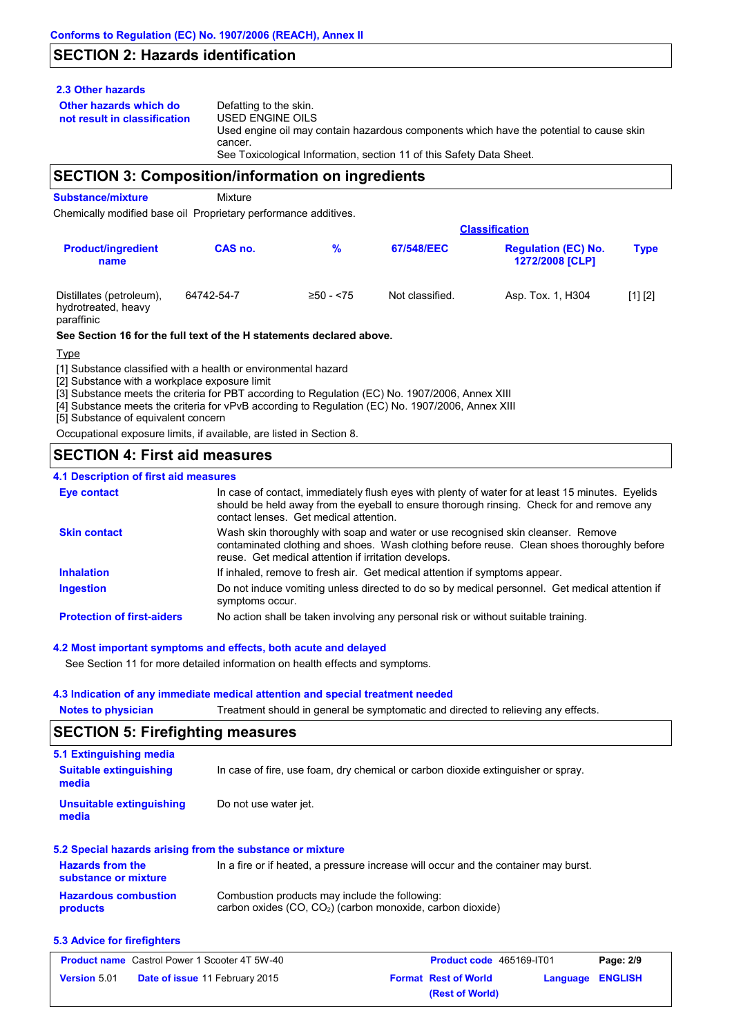# **SECTION 2: Hazards identification**

### **2.3 Other hazards**

**Other hazards which do** 

**not result in classification** Defatting to the skin. USED ENGINE OILS Used engine oil may contain hazardous components which have the potential to cause skin cancer. See Toxicological Information, section 11 of this Safety Data Sheet.

### **SECTION 3: Composition/information on ingredients**

**Substance/mixture** Mixture

Chemically modified base oil Proprietary performance additives.

|                                                               |            |             |                 | <b>Classification</b>                                |             |  |
|---------------------------------------------------------------|------------|-------------|-----------------|------------------------------------------------------|-------------|--|
| <b>Product/ingredient</b><br>name                             | CAS no.    | %           | 67/548/EEC      | <b>Regulation (EC) No.</b><br><b>1272/2008 [CLP]</b> | <b>Type</b> |  |
| Distillates (petroleum),<br>hydrotreated, heavy<br>paraffinic | 64742-54-7 | $≥50 - 575$ | Not classified. | Asp. Tox. 1, H304                                    | [1] [2]     |  |

### **See Section 16 for the full text of the H statements declared above.**

Type

[1] Substance classified with a health or environmental hazard

[2] Substance with a workplace exposure limit

[3] Substance meets the criteria for PBT according to Regulation (EC) No. 1907/2006, Annex XIII

[4] Substance meets the criteria for vPvB according to Regulation (EC) No. 1907/2006, Annex XIII

[5] Substance of equivalent concern

Occupational exposure limits, if available, are listed in Section 8.

# **SECTION 4: First aid measures**

### **4.1 Description of first aid measures**

| <b>Eye contact</b>                | In case of contact, immediately flush eyes with plenty of water for at least 15 minutes. Eyelids<br>should be held away from the eyeball to ensure thorough rinsing. Check for and remove any<br>contact lenses. Get medical attention. |
|-----------------------------------|-----------------------------------------------------------------------------------------------------------------------------------------------------------------------------------------------------------------------------------------|
| <b>Skin contact</b>               | Wash skin thoroughly with soap and water or use recognised skin cleanser. Remove<br>contaminated clothing and shoes. Wash clothing before reuse. Clean shoes thoroughly before<br>reuse. Get medical attention if irritation develops.  |
| <b>Inhalation</b>                 | If inhaled, remove to fresh air. Get medical attention if symptoms appear.                                                                                                                                                              |
| <b>Ingestion</b>                  | Do not induce vomiting unless directed to do so by medical personnel. Get medical attention if<br>symptoms occur.                                                                                                                       |
| <b>Protection of first-aiders</b> | No action shall be taken involving any personal risk or without suitable training.                                                                                                                                                      |

### **4.2 Most important symptoms and effects, both acute and delayed**

See Section 11 for more detailed information on health effects and symptoms.

### **4.3 Indication of any immediate medical attention and special treatment needed**

**Notes to physician** Treatment should in general be symptomatic and directed to relieving any effects.

### **SECTION 5: Firefighting measures**

| 5.1 Extinguishing media                         |                                                                                     |
|-------------------------------------------------|-------------------------------------------------------------------------------------|
| <b>Suitable extinguishing</b><br>media          | In case of fire, use foam, dry chemical or carbon dioxide extinguisher or spray.    |
| Unsuitable extinguishing<br>media               | Do not use water jet.                                                               |
|                                                 | 5.2 Special hazards arising from the substance or mixture                           |
| <b>Hazards from the</b><br>substance or mixture | In a fire or if heated, a pressure increase will occur and the container may burst. |
|                                                 |                                                                                     |

### **Hazardous combustion products** Combustion products may include the following: carbon oxides (CO, CO2) (carbon monoxide, carbon dioxide)

### **5.3 Advice for firefighters**

| <b>Product name</b> Castrol Power 1 Scooter 4T 5W-40 |                                       | <b>Product code</b> 465169-IT01 |                             | Page: 2/9        |  |
|------------------------------------------------------|---------------------------------------|---------------------------------|-----------------------------|------------------|--|
| <b>Version 5.01</b>                                  | <b>Date of issue 11 February 2015</b> |                                 | <b>Format Rest of World</b> | Language ENGLISH |  |
|                                                      |                                       |                                 | (Rest of World)             |                  |  |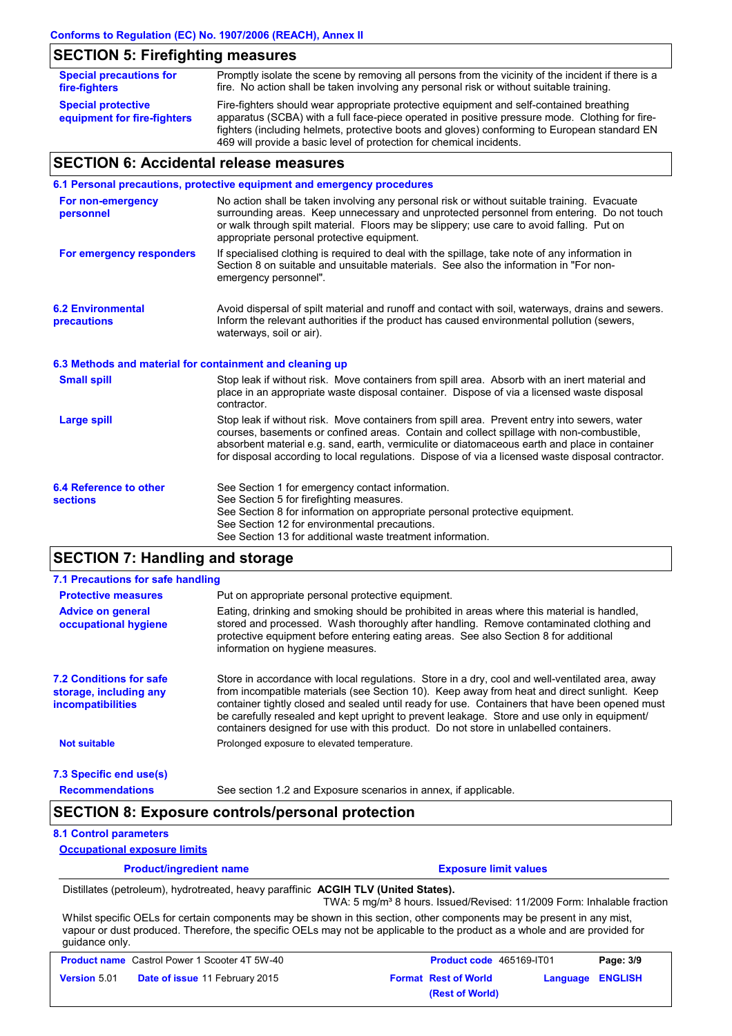# **SECTION 5: Firefighting measures**

| <b>Special precautions for</b><br>fire-fighters          | Promptly isolate the scene by removing all persons from the vicinity of the incident if there is a<br>fire. No action shall be taken involving any personal risk or without suitable training.                                                                                            |
|----------------------------------------------------------|-------------------------------------------------------------------------------------------------------------------------------------------------------------------------------------------------------------------------------------------------------------------------------------------|
| <b>Special protective</b><br>equipment for fire-fighters | Fire-fighters should wear appropriate protective equipment and self-contained breathing<br>apparatus (SCBA) with a full face-piece operated in positive pressure mode. Clothing for fire-<br>fighters (including helmets, protective boots and gloves) conforming to European standard EN |
|                                                          | 469 will provide a basic level of protection for chemical incidents.                                                                                                                                                                                                                      |

# **SECTION 6: Accidental release measures**

|                                                          | 6.1 Personal precautions, protective equipment and emergency procedures                                                                                                                                                                                                                                                                                                                        |
|----------------------------------------------------------|------------------------------------------------------------------------------------------------------------------------------------------------------------------------------------------------------------------------------------------------------------------------------------------------------------------------------------------------------------------------------------------------|
| For non-emergency<br>personnel                           | No action shall be taken involving any personal risk or without suitable training. Evacuate<br>surrounding areas. Keep unnecessary and unprotected personnel from entering. Do not touch<br>or walk through spilt material. Floors may be slippery; use care to avoid falling. Put on<br>appropriate personal protective equipment.                                                            |
| For emergency responders                                 | If specialised clothing is required to deal with the spillage, take note of any information in<br>Section 8 on suitable and unsuitable materials. See also the information in "For non-<br>emergency personnel".                                                                                                                                                                               |
| <b>6.2 Environmental</b><br>precautions                  | Avoid dispersal of spilt material and runoff and contact with soil, waterways, drains and sewers.<br>Inform the relevant authorities if the product has caused environmental pollution (sewers,<br>waterways, soil or air).                                                                                                                                                                    |
| 6.3 Methods and material for containment and cleaning up |                                                                                                                                                                                                                                                                                                                                                                                                |
| <b>Small spill</b>                                       | Stop leak if without risk. Move containers from spill area. Absorb with an inert material and<br>place in an appropriate waste disposal container. Dispose of via a licensed waste disposal<br>contractor.                                                                                                                                                                                     |
| <b>Large spill</b>                                       | Stop leak if without risk. Move containers from spill area. Prevent entry into sewers, water<br>courses, basements or confined areas. Contain and collect spillage with non-combustible,<br>absorbent material e.g. sand, earth, vermiculite or diatomaceous earth and place in container<br>for disposal according to local regulations. Dispose of via a licensed waste disposal contractor. |
| 6.4 Reference to other<br><b>sections</b>                | See Section 1 for emergency contact information.<br>See Section 5 for firefighting measures.<br>See Section 8 for information on appropriate personal protective equipment.<br>See Section 12 for environmental precautions.<br>See Section 13 for additional waste treatment information.                                                                                                     |

# **SECTION 7: Handling and storage**

| 7.1 Precautions for safe handling                                                    |                                                                                                                                                                                                                                                                                                                                                                                                                                                                                          |
|--------------------------------------------------------------------------------------|------------------------------------------------------------------------------------------------------------------------------------------------------------------------------------------------------------------------------------------------------------------------------------------------------------------------------------------------------------------------------------------------------------------------------------------------------------------------------------------|
| <b>Protective measures</b>                                                           | Put on appropriate personal protective equipment.                                                                                                                                                                                                                                                                                                                                                                                                                                        |
| <b>Advice on general</b><br>occupational hygiene                                     | Eating, drinking and smoking should be prohibited in areas where this material is handled,<br>stored and processed. Wash thoroughly after handling. Remove contaminated clothing and<br>protective equipment before entering eating areas. See also Section 8 for additional<br>information on hygiene measures.                                                                                                                                                                         |
| <b>7.2 Conditions for safe</b><br>storage, including any<br><i>incompatibilities</i> | Store in accordance with local requiations. Store in a dry, cool and well-ventilated area, away<br>from incompatible materials (see Section 10). Keep away from heat and direct sunlight. Keep<br>container tightly closed and sealed until ready for use. Containers that have been opened must<br>be carefully resealed and kept upright to prevent leakage. Store and use only in equipment/<br>containers designed for use with this product. Do not store in unlabelled containers. |
| <b>Not suitable</b>                                                                  | Prolonged exposure to elevated temperature.                                                                                                                                                                                                                                                                                                                                                                                                                                              |
| 7.3 Specific end use(s)                                                              |                                                                                                                                                                                                                                                                                                                                                                                                                                                                                          |

### **Recommendations**

### See section 1.2 and Exposure scenarios in annex, if applicable.

# **SECTION 8: Exposure controls/personal protection**

### **8.1 Control parameters**

### **Occupational exposure limits**

**Product/ingredient name Exposure limit values** 

### Distillates (petroleum), hydrotreated, heavy paraffinic **ACGIH TLV (United States).**

TWA: 5 mg/m<sup>3</sup> 8 hours. Issued/Revised: 11/2009 Form: Inhalable fraction Whilst specific OELs for certain components may be shown in this section, other components may be present in any mist,

vapour or dust produced. Therefore, the specific OELs may not be applicable to the product as a whole and are provided for guidance only.

| <b>Product name</b> Castrol Power 1 Scooter 4T 5W-40 |                                       | <b>Product code</b> 465169-IT01 | Page: 3/9               |
|------------------------------------------------------|---------------------------------------|---------------------------------|-------------------------|
| <b>Version 5.01</b>                                  | <b>Date of issue 11 February 2015</b> | <b>Format Rest of World</b>     | <b>Language ENGLISH</b> |
|                                                      |                                       | (Rest of World)                 |                         |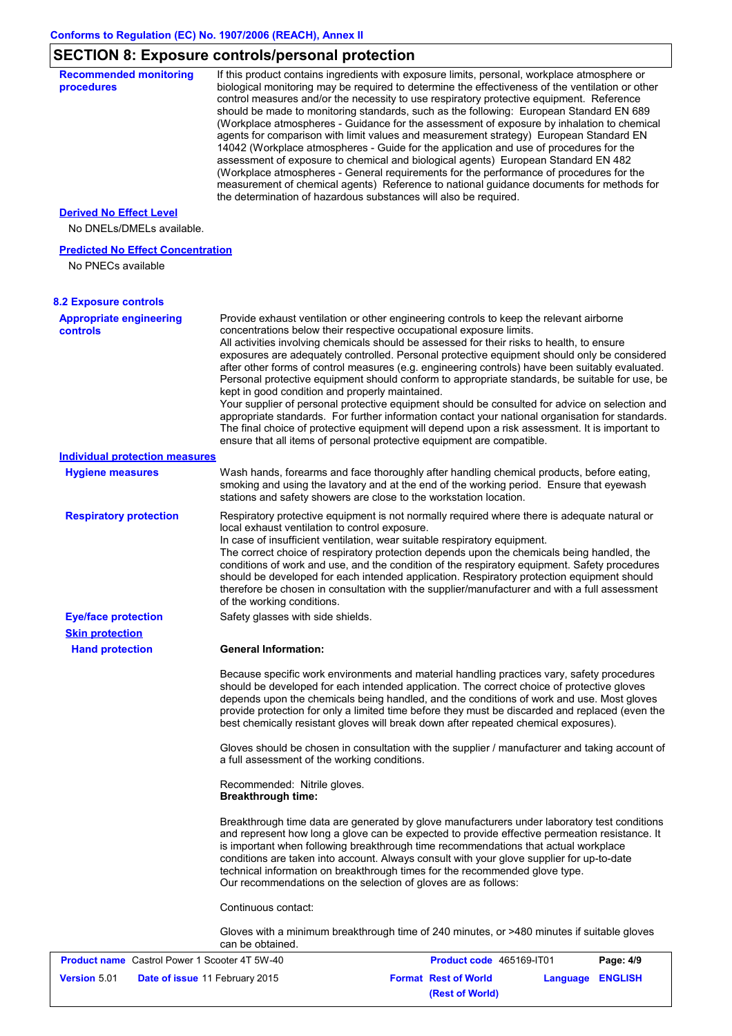# **SECTION 8: Exposure controls/personal protection**

| <b>Recommended monitoring</b><br>procedures                    | If this product contains ingredients with exposure limits, personal, workplace atmosphere or<br>biological monitoring may be required to determine the effectiveness of the ventilation or other<br>control measures and/or the necessity to use respiratory protective equipment. Reference<br>should be made to monitoring standards, such as the following: European Standard EN 689<br>(Workplace atmospheres - Guidance for the assessment of exposure by inhalation to chemical<br>agents for comparison with limit values and measurement strategy) European Standard EN<br>14042 (Workplace atmospheres - Guide for the application and use of procedures for the<br>assessment of exposure to chemical and biological agents) European Standard EN 482<br>(Workplace atmospheres - General requirements for the performance of procedures for the<br>measurement of chemical agents) Reference to national guidance documents for methods for<br>the determination of hazardous substances will also be required. |
|----------------------------------------------------------------|----------------------------------------------------------------------------------------------------------------------------------------------------------------------------------------------------------------------------------------------------------------------------------------------------------------------------------------------------------------------------------------------------------------------------------------------------------------------------------------------------------------------------------------------------------------------------------------------------------------------------------------------------------------------------------------------------------------------------------------------------------------------------------------------------------------------------------------------------------------------------------------------------------------------------------------------------------------------------------------------------------------------------|
| <b>Derived No Effect Level</b>                                 |                                                                                                                                                                                                                                                                                                                                                                                                                                                                                                                                                                                                                                                                                                                                                                                                                                                                                                                                                                                                                            |
| No DNELs/DMELs available.                                      |                                                                                                                                                                                                                                                                                                                                                                                                                                                                                                                                                                                                                                                                                                                                                                                                                                                                                                                                                                                                                            |
| <b>Predicted No Effect Concentration</b><br>No PNECs available |                                                                                                                                                                                                                                                                                                                                                                                                                                                                                                                                                                                                                                                                                                                                                                                                                                                                                                                                                                                                                            |
| <b>8.2 Exposure controls</b>                                   |                                                                                                                                                                                                                                                                                                                                                                                                                                                                                                                                                                                                                                                                                                                                                                                                                                                                                                                                                                                                                            |
| <b>Appropriate engineering</b><br><b>controls</b>              | Provide exhaust ventilation or other engineering controls to keep the relevant airborne<br>concentrations below their respective occupational exposure limits.<br>All activities involving chemicals should be assessed for their risks to health, to ensure<br>exposures are adequately controlled. Personal protective equipment should only be considered<br>after other forms of control measures (e.g. engineering controls) have been suitably evaluated.<br>Personal protective equipment should conform to appropriate standards, be suitable for use, be<br>kept in good condition and properly maintained.<br>Your supplier of personal protective equipment should be consulted for advice on selection and<br>appropriate standards. For further information contact your national organisation for standards.<br>The final choice of protective equipment will depend upon a risk assessment. It is important to<br>ensure that all items of personal protective equipment are compatible.                    |
| <b>Individual protection measures</b>                          |                                                                                                                                                                                                                                                                                                                                                                                                                                                                                                                                                                                                                                                                                                                                                                                                                                                                                                                                                                                                                            |
| <b>Hygiene measures</b>                                        | Wash hands, forearms and face thoroughly after handling chemical products, before eating,<br>smoking and using the lavatory and at the end of the working period. Ensure that eyewash<br>stations and safety showers are close to the workstation location.                                                                                                                                                                                                                                                                                                                                                                                                                                                                                                                                                                                                                                                                                                                                                                |
| <b>Respiratory protection</b>                                  | Respiratory protective equipment is not normally required where there is adequate natural or<br>local exhaust ventilation to control exposure.<br>In case of insufficient ventilation, wear suitable respiratory equipment.<br>The correct choice of respiratory protection depends upon the chemicals being handled, the<br>conditions of work and use, and the condition of the respiratory equipment. Safety procedures<br>should be developed for each intended application. Respiratory protection equipment should<br>therefore be chosen in consultation with the supplier/manufacturer and with a full assessment<br>of the working conditions.                                                                                                                                                                                                                                                                                                                                                                    |
| <b>Eye/face protection</b>                                     | Safety glasses with side shields.                                                                                                                                                                                                                                                                                                                                                                                                                                                                                                                                                                                                                                                                                                                                                                                                                                                                                                                                                                                          |
| <b>Skin protection</b><br><b>Hand protection</b>               | <b>General Information:</b>                                                                                                                                                                                                                                                                                                                                                                                                                                                                                                                                                                                                                                                                                                                                                                                                                                                                                                                                                                                                |
|                                                                | Because specific work environments and material handling practices vary, safety procedures<br>should be developed for each intended application. The correct choice of protective gloves<br>depends upon the chemicals being handled, and the conditions of work and use. Most gloves<br>provide protection for only a limited time before they must be discarded and replaced (even the<br>best chemically resistant gloves will break down after repeated chemical exposures).                                                                                                                                                                                                                                                                                                                                                                                                                                                                                                                                           |
|                                                                | Gloves should be chosen in consultation with the supplier / manufacturer and taking account of<br>a full assessment of the working conditions.                                                                                                                                                                                                                                                                                                                                                                                                                                                                                                                                                                                                                                                                                                                                                                                                                                                                             |
|                                                                | Recommended: Nitrile gloves.<br><b>Breakthrough time:</b>                                                                                                                                                                                                                                                                                                                                                                                                                                                                                                                                                                                                                                                                                                                                                                                                                                                                                                                                                                  |
|                                                                | Breakthrough time data are generated by glove manufacturers under laboratory test conditions<br>and represent how long a glove can be expected to provide effective permeation resistance. It<br>is important when following breakthrough time recommendations that actual workplace<br>conditions are taken into account. Always consult with your glove supplier for up-to-date<br>technical information on breakthrough times for the recommended glove type.<br>Our recommendations on the selection of gloves are as follows:                                                                                                                                                                                                                                                                                                                                                                                                                                                                                         |
|                                                                | Continuous contact:                                                                                                                                                                                                                                                                                                                                                                                                                                                                                                                                                                                                                                                                                                                                                                                                                                                                                                                                                                                                        |
|                                                                | Gloves with a minimum breakthrough time of 240 minutes, or >480 minutes if suitable gloves<br>can be obtained.                                                                                                                                                                                                                                                                                                                                                                                                                                                                                                                                                                                                                                                                                                                                                                                                                                                                                                             |
| <b>Product name</b> Castrol Power 1 Scooter 4T 5W-40           | Product code 465169-IT01<br>Page: 4/9                                                                                                                                                                                                                                                                                                                                                                                                                                                                                                                                                                                                                                                                                                                                                                                                                                                                                                                                                                                      |
| <b>Version 5.01</b>                                            | <b>Format Rest of World</b><br>Date of issue 11 February 2015<br><b>Language ENGLISH</b>                                                                                                                                                                                                                                                                                                                                                                                                                                                                                                                                                                                                                                                                                                                                                                                                                                                                                                                                   |

**(Rest of World)**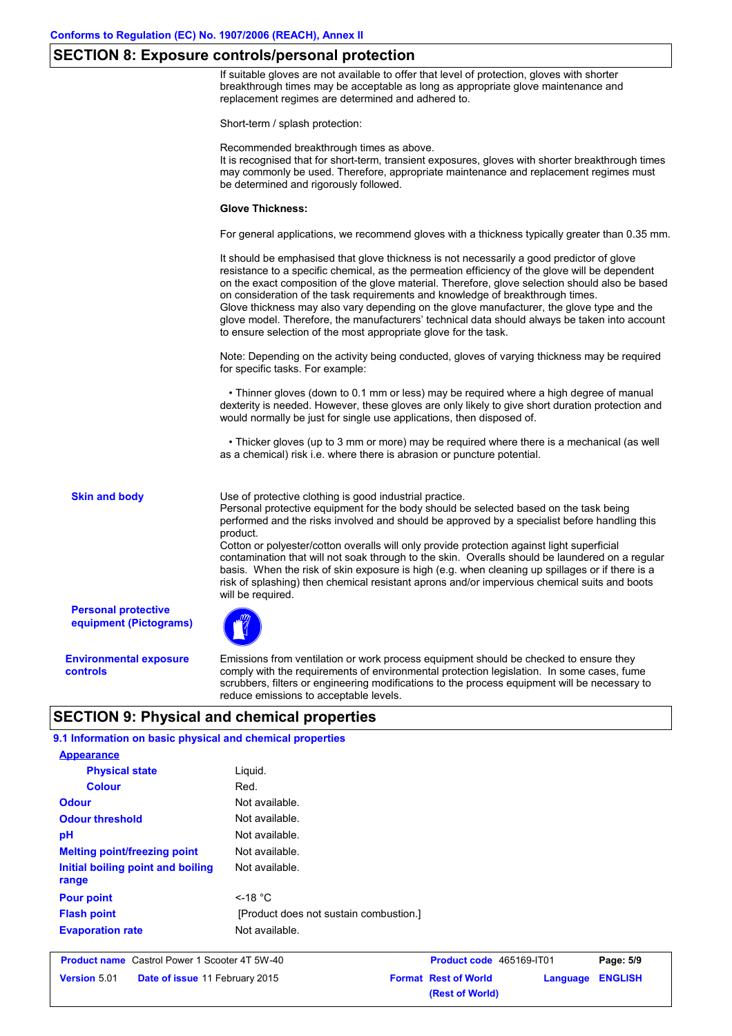### **SECTION 8: Exposure controls/personal protection**

If suitable gloves are not available to offer that level of protection, gloves with shorter breakthrough times may be acceptable as long as appropriate glove maintenance and replacement regimes are determined and adhered to.

Short-term / splash protection:

Recommended breakthrough times as above.

It is recognised that for short-term, transient exposures, gloves with shorter breakthrough times may commonly be used. Therefore, appropriate maintenance and replacement regimes must be determined and rigorously followed.

### **Glove Thickness:**

For general applications, we recommend gloves with a thickness typically greater than 0.35 mm.

It should be emphasised that glove thickness is not necessarily a good predictor of glove resistance to a specific chemical, as the permeation efficiency of the glove will be dependent on the exact composition of the glove material. Therefore, glove selection should also be based on consideration of the task requirements and knowledge of breakthrough times. Glove thickness may also vary depending on the glove manufacturer, the glove type and the glove model. Therefore, the manufacturers' technical data should always be taken into account to ensure selection of the most appropriate glove for the task.

Note: Depending on the activity being conducted, gloves of varying thickness may be required for specific tasks. For example:

 • Thinner gloves (down to 0.1 mm or less) may be required where a high degree of manual dexterity is needed. However, these gloves are only likely to give short duration protection and would normally be just for single use applications, then disposed of.

 • Thicker gloves (up to 3 mm or more) may be required where there is a mechanical (as well as a chemical) risk i.e. where there is abrasion or puncture potential.

**Skin and body**

Use of protective clothing is good industrial practice.

Personal protective equipment for the body should be selected based on the task being performed and the risks involved and should be approved by a specialist before handling this product.

Cotton or polyester/cotton overalls will only provide protection against light superficial contamination that will not soak through to the skin. Overalls should be laundered on a regular basis. When the risk of skin exposure is high (e.g. when cleaning up spillages or if there is a risk of splashing) then chemical resistant aprons and/or impervious chemical suits and boots will be required.

**Personal protective equipment (Pictograms)**

**Environmental exposure controls**

Emissions from ventilation or work process equipment should be checked to ensure they comply with the requirements of environmental protection legislation. In some cases, fume scrubbers, filters or engineering modifications to the process equipment will be necessary to reduce emissions to acceptable levels.

**(Rest of World)**

# **SECTION 9: Physical and chemical properties**

| 9.1 Information on basic physical and chemical properties |                                                                      |                             |          |                |  |
|-----------------------------------------------------------|----------------------------------------------------------------------|-----------------------------|----------|----------------|--|
| <b>Appearance</b>                                         |                                                                      |                             |          |                |  |
| <b>Physical state</b>                                     | Liquid.                                                              |                             |          |                |  |
| <b>Colour</b>                                             | Red.                                                                 |                             |          |                |  |
| <b>Odour</b>                                              | Not available.                                                       |                             |          |                |  |
| <b>Odour threshold</b>                                    | Not available.<br>Not available.<br>Not available.<br>Not available. |                             |          |                |  |
| pH                                                        |                                                                      |                             |          |                |  |
| <b>Melting point/freezing point</b>                       |                                                                      |                             |          |                |  |
| Initial boiling point and boiling<br>range                |                                                                      |                             |          |                |  |
| <b>Pour point</b>                                         | $<$ -18 °C                                                           |                             |          |                |  |
| <b>Flash point</b>                                        | [Product does not sustain combustion.]                               |                             |          |                |  |
| <b>Evaporation rate</b>                                   | Not available.                                                       |                             |          |                |  |
| <b>Product name</b> Castrol Power 1 Scooter 4T 5W-40      |                                                                      | Product code 465169-IT01    |          | Page: 5/9      |  |
| <b>Version 5.01</b><br>Date of issue 11 February 2015     |                                                                      | <b>Format Rest of World</b> | Language | <b>ENGLISH</b> |  |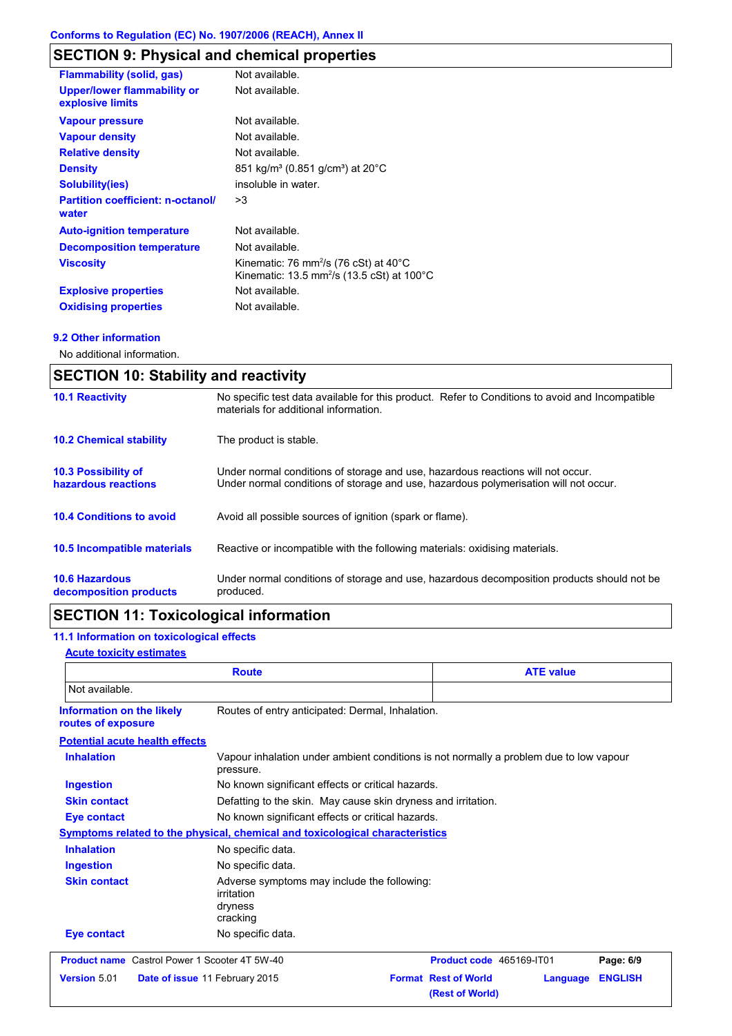# **SECTION 9: Physical and chemical properties**

| <b>Flammability (solid, gas)</b>                       | Not available.                                                                                                                   |
|--------------------------------------------------------|----------------------------------------------------------------------------------------------------------------------------------|
| <b>Upper/lower flammability or</b><br>explosive limits | Not available.                                                                                                                   |
| <b>Vapour pressure</b>                                 | Not available.                                                                                                                   |
| <b>Vapour density</b>                                  | Not available.                                                                                                                   |
| <b>Relative density</b>                                | Not available.                                                                                                                   |
| <b>Density</b>                                         | 851 kg/m <sup>3</sup> (0.851 g/cm <sup>3</sup> ) at 20°C                                                                         |
| <b>Solubility(ies)</b>                                 | insoluble in water.                                                                                                              |
| <b>Partition coefficient: n-octanol/</b><br>water      | >3                                                                                                                               |
| <b>Auto-ignition temperature</b>                       | Not available.                                                                                                                   |
| <b>Decomposition temperature</b>                       | Not available.                                                                                                                   |
| <b>Viscosity</b>                                       | Kinematic: 76 mm <sup>2</sup> /s (76 cSt) at $40^{\circ}$ C<br>Kinematic: 13.5 mm <sup>2</sup> /s (13.5 cSt) at 100 $^{\circ}$ C |
| <b>Explosive properties</b>                            | Not available.                                                                                                                   |
| <b>Oxidising properties</b>                            | Not available.                                                                                                                   |

### **9.2 Other information**

No additional information.

| <b>SECTION 10: Stability and reactivity</b>       |                                                                                                                                                                         |  |
|---------------------------------------------------|-------------------------------------------------------------------------------------------------------------------------------------------------------------------------|--|
| <b>10.1 Reactivity</b>                            | No specific test data available for this product. Refer to Conditions to avoid and Incompatible<br>materials for additional information.                                |  |
| <b>10.2 Chemical stability</b>                    | The product is stable.                                                                                                                                                  |  |
| <b>10.3 Possibility of</b><br>hazardous reactions | Under normal conditions of storage and use, hazardous reactions will not occur.<br>Under normal conditions of storage and use, hazardous polymerisation will not occur. |  |
| <b>10.4 Conditions to avoid</b>                   | Avoid all possible sources of ignition (spark or flame).                                                                                                                |  |
| <b>10.5 Incompatible materials</b>                | Reactive or incompatible with the following materials: oxidising materials.                                                                                             |  |
| <b>10.6 Hazardous</b><br>decomposition products   | Under normal conditions of storage and use, hazardous decomposition products should not be<br>produced.                                                                 |  |

# **SECTION 11: Toxicological information**

# **11.1 Information on toxicological effects**

### **Acute toxicity estimates**

| <b>Route</b>                                         |                                                                                                     | <b>ATE value</b>                                           |                |  |
|------------------------------------------------------|-----------------------------------------------------------------------------------------------------|------------------------------------------------------------|----------------|--|
| Not available.                                       |                                                                                                     |                                                            |                |  |
| Information on the likely<br>routes of exposure      | Routes of entry anticipated: Dermal, Inhalation.                                                    |                                                            |                |  |
| <b>Potential acute health effects</b>                |                                                                                                     |                                                            |                |  |
| <b>Inhalation</b>                                    | Vapour inhalation under ambient conditions is not normally a problem due to low vapour<br>pressure. |                                                            |                |  |
| <b>Ingestion</b>                                     |                                                                                                     | No known significant effects or critical hazards.          |                |  |
| <b>Skin contact</b>                                  | Defatting to the skin. May cause skin dryness and irritation.                                       |                                                            |                |  |
| <b>Eye contact</b>                                   | No known significant effects or critical hazards.                                                   |                                                            |                |  |
|                                                      | Symptoms related to the physical, chemical and toxicological characteristics                        |                                                            |                |  |
| <b>Inhalation</b>                                    | No specific data.                                                                                   |                                                            |                |  |
| <b>Ingestion</b>                                     | No specific data.                                                                                   |                                                            |                |  |
| <b>Skin contact</b>                                  | Adverse symptoms may include the following:<br>irritation<br>dryness<br>cracking                    |                                                            |                |  |
| <b>Eye contact</b>                                   | No specific data.                                                                                   |                                                            |                |  |
| <b>Product name</b> Castrol Power 1 Scooter 4T 5W-40 |                                                                                                     | Product code 465169-IT01                                   | Page: 6/9      |  |
| Version 5.01                                         | Date of issue 11 February 2015                                                                      | <b>Format Rest of World</b><br>Language<br>(Rest of World) | <b>ENGLISH</b> |  |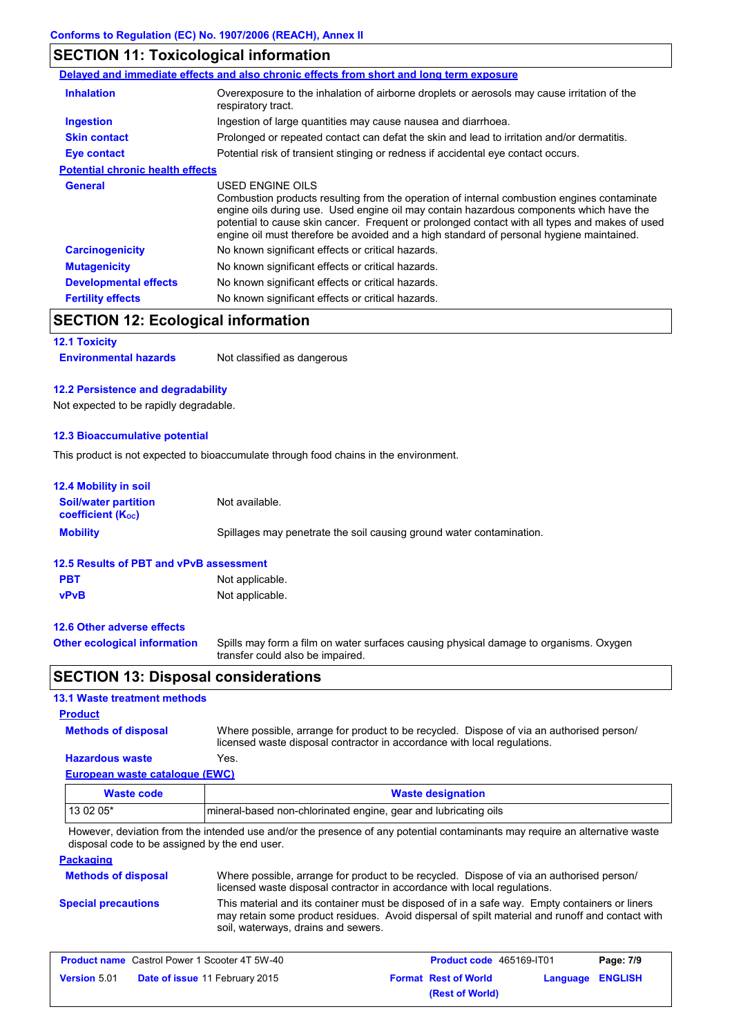# **SECTION 11: Toxicological information**

|                                         | Delayed and immediate effects and also chronic effects from short and long term exposure                                                                                                                                                                                                                                                                                                                 |
|-----------------------------------------|----------------------------------------------------------------------------------------------------------------------------------------------------------------------------------------------------------------------------------------------------------------------------------------------------------------------------------------------------------------------------------------------------------|
| <b>Inhalation</b>                       | Overexposure to the inhalation of airborne droplets or aerosols may cause irritation of the<br>respiratory tract.                                                                                                                                                                                                                                                                                        |
| Ingestion                               | Ingestion of large quantities may cause nausea and diarrhoea.                                                                                                                                                                                                                                                                                                                                            |
| <b>Skin contact</b>                     | Prolonged or repeated contact can defat the skin and lead to irritation and/or dermatitis.                                                                                                                                                                                                                                                                                                               |
| Eye contact                             | Potential risk of transient stinging or redness if accidental eye contact occurs.                                                                                                                                                                                                                                                                                                                        |
| <b>Potential chronic health effects</b> |                                                                                                                                                                                                                                                                                                                                                                                                          |
| <b>General</b>                          | USED ENGINE OILS<br>Combustion products resulting from the operation of internal combustion engines contaminate<br>engine oils during use. Used engine oil may contain hazardous components which have the<br>potential to cause skin cancer. Frequent or prolonged contact with all types and makes of used<br>engine oil must therefore be avoided and a high standard of personal hygiene maintained. |
| <b>Carcinogenicity</b>                  | No known significant effects or critical hazards.                                                                                                                                                                                                                                                                                                                                                        |
| <b>Mutagenicity</b>                     | No known significant effects or critical hazards.                                                                                                                                                                                                                                                                                                                                                        |
| <b>Developmental effects</b>            | No known significant effects or critical hazards.                                                                                                                                                                                                                                                                                                                                                        |
| <b>Fertility effects</b>                | No known significant effects or critical hazards.                                                                                                                                                                                                                                                                                                                                                        |

# **SECTION 12: Ecological information**

# **12.1 Toxicity**

**Environmental hazards** Not classified as dangerous

### **12.2 Persistence and degradability**

Not expected to be rapidly degradable.

### **12.3 Bioaccumulative potential**

This product is not expected to bioaccumulate through food chains in the environment.

| <b>12.4 Mobility in soil</b>                                                            |                                                                                                                           |  |  |
|-----------------------------------------------------------------------------------------|---------------------------------------------------------------------------------------------------------------------------|--|--|
| <b>Soil/water partition</b><br><b>coefficient</b> (K <sub>oc</sub> )                    | Not available.                                                                                                            |  |  |
| <b>Mobility</b><br>Spillages may penetrate the soil causing ground water contamination. |                                                                                                                           |  |  |
| 12.5 Results of PBT and vPvB assessment                                                 |                                                                                                                           |  |  |
| <b>PBT</b>                                                                              | Not applicable.                                                                                                           |  |  |
| <b>vPvB</b>                                                                             | Not applicable.                                                                                                           |  |  |
| 12.6 Other adverse effects                                                              |                                                                                                                           |  |  |
| <b>Other ecological information</b>                                                     | Spills may form a film on water surfaces causing physical damage to organisms. Oxygen<br>transfer could also be impaired. |  |  |

# **SECTION 13: Disposal considerations**

### **13.1 Waste treatment methods**

### **Product**

**Methods of disposal**

Where possible, arrange for product to be recycled. Dispose of via an authorised person/ licensed waste disposal contractor in accordance with local regulations.

### **European waste catalogue (EWC) Hazardous waste** Yes.

| Waste code | <b>Waste designation</b>                                         |  |
|------------|------------------------------------------------------------------|--|
| $130205*$  | Imineral-based non-chlorinated engine, gear and lubricating oils |  |

However, deviation from the intended use and/or the presence of any potential contaminants may require an alternative waste disposal code to be assigned by the end user.

### **Packaging**

| <b>Methods of disposal</b> | Where possible, arrange for product to be recycled. Dispose of via an authorised person/<br>licensed waste disposal contractor in accordance with local regulations.                                                                    |
|----------------------------|-----------------------------------------------------------------------------------------------------------------------------------------------------------------------------------------------------------------------------------------|
| <b>Special precautions</b> | This material and its container must be disposed of in a safe way. Empty containers or liners<br>may retain some product residues. Avoid dispersal of spilt material and runoff and contact with<br>soil, waterways, drains and sewers. |

| <b>Product name</b> Castrol Power 1 Scooter 4T 5W-40 |                                       | <b>Product code</b> 465169-IT01 |                             | Page: 7/9               |  |
|------------------------------------------------------|---------------------------------------|---------------------------------|-----------------------------|-------------------------|--|
| <b>Version 5.01</b>                                  | <b>Date of issue 11 February 2015</b> |                                 | <b>Format Rest of World</b> | <b>Language ENGLISH</b> |  |
|                                                      |                                       |                                 | (Rest of World)             |                         |  |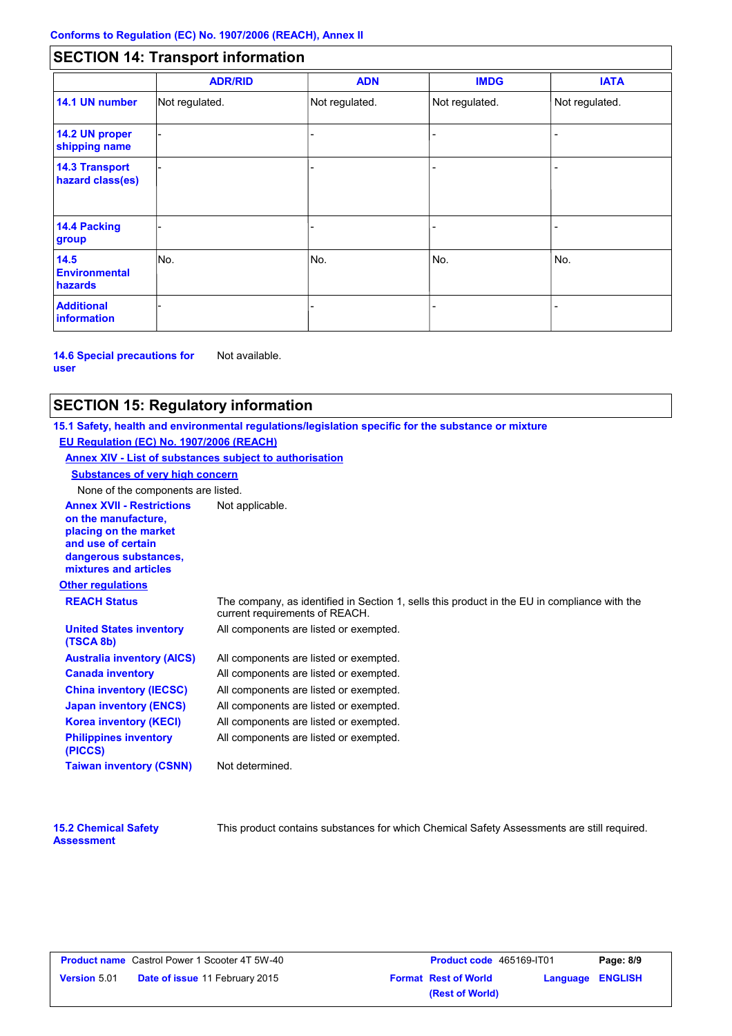# **SECTION 14: Transport information**

|                                           | <b>ADR/RID</b> | <b>ADN</b>     | <b>IMDG</b>    | <b>IATA</b>    |
|-------------------------------------------|----------------|----------------|----------------|----------------|
| 14.1 UN number                            | Not regulated. | Not regulated. | Not regulated. | Not regulated. |
| 14.2 UN proper<br>shipping name           |                |                |                |                |
| <b>14.3 Transport</b><br>hazard class(es) |                |                |                |                |
| 14.4 Packing<br>group                     |                |                |                |                |
| 14.5<br><b>Environmental</b><br>hazards   | No.            | No.            | No.            | No.            |
| <b>Additional</b><br><b>information</b>   |                |                |                |                |

**14.6 Special precautions for user** Not available.

# **SECTION 15: Regulatory information**

**Other regulations Annex XVII - Restrictions** Not applicable. **on the manufacture, placing on the market and use of certain dangerous substances, mixtures and articles REACH Status** The company, as identified in Section 1, sells this product in the EU in compliance with the current requirements of REACH. **15.1 Safety, health and environmental regulations/legislation specific for the substance or mixture EU Regulation (EC) No. 1907/2006 (REACH) Annex XIV - List of substances subject to authorisation Substances of very high concern** None of the components are listed. All components are listed or exempted. All components are listed or exempted. All components are listed or exempted. All components are listed or exempted. All components are listed or exempted. All components are listed or exempted. All components are listed or exempted. **United States inventory (TSCA 8b) Australia inventory (AICS) Canada inventory China inventory (IECSC) Japan inventory (ENCS) Korea inventory (KECI) Philippines inventory (PICCS) Taiwan inventory (CSNN)** Not determined.

| <b>15.2 Chemical Safety</b> |  |
|-----------------------------|--|
| <b>Assessment</b>           |  |

This product contains substances for which Chemical Safety Assessments are still required.